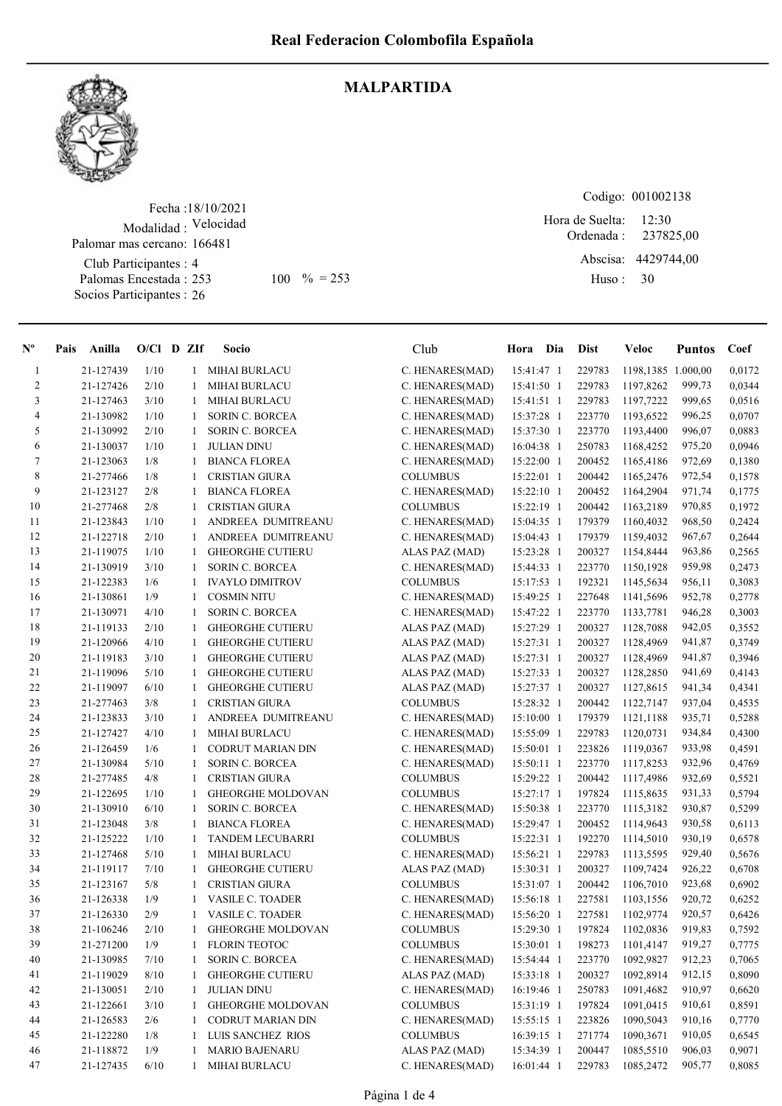

## MALPARTIDA

Fecha : 18/10/2021 Modalidad : Velocidad Club Participantes : 4 Palomas Encestada : Socios Participantes : 26 Palomar mas cercano: 166481

Codigo: 001002138

Ordenada : Abscisa: 4429744,00 Huso : 12:30 253 100 % = 253 Huso: 30 Hora de Suelta: 237825,00

| $N^{\circ}$    | Pais Anilla | $O/Cl$ D ZIf |              | Socio                    | Club            | Hora Dia     | <b>Dist</b> | <b>Veloc</b>       | <b>Puntos</b> | Coef   |
|----------------|-------------|--------------|--------------|--------------------------|-----------------|--------------|-------------|--------------------|---------------|--------|
| $\mathbf{1}$   | 21-127439   | 1/10         |              | 1 MIHAI BURLACU          | C. HENARES(MAD) | 15:41:47 1   | 229783      | 1198,1385 1.000,00 |               | 0,0172 |
| $\sqrt{2}$     | 21-127426   | 2/10         | 1            | <b>MIHAI BURLACU</b>     | C. HENARES(MAD) | 15:41:50 1   | 229783      | 1197,8262          | 999,73        | 0,0344 |
| 3              | 21-127463   | 3/10         | 1            | <b>MIHAI BURLACU</b>     | C. HENARES(MAD) | 15:41:51 1   | 229783      | 1197,7222          | 999,65        | 0,0516 |
| $\overline{4}$ | 21-130982   | 1/10         | 1            | <b>SORIN C. BORCEA</b>   | C. HENARES(MAD) | 15:37:28 1   | 223770      | 1193,6522          | 996,25        | 0,0707 |
| 5              | 21-130992   | 2/10         | 1            | <b>SORIN C. BORCEA</b>   | C. HENARES(MAD) | 15:37:30 1   | 223770      | 1193,4400          | 996,07        | 0,0883 |
| 6              | 21-130037   | 1/10         | 1            | <b>JULIAN DINU</b>       | C. HENARES(MAD) | 16:04:38 1   | 250783      | 1168,4252          | 975,20        | 0,0946 |
| $\tau$         | 21-123063   | 1/8          | 1            | <b>BIANCA FLOREA</b>     | C. HENARES(MAD) | 15:22:00 1   | 200452      | 1165,4186          | 972,69        | 0,1380 |
| $\,8\,$        | 21-277466   | 1/8          | 1            | <b>CRISTIAN GIURA</b>    | <b>COLUMBUS</b> | $15:22:01$ 1 | 200442      | 1165,2476          | 972,54        | 0,1578 |
| 9              | 21-123127   | $2/8$        | 1            | <b>BIANCA FLOREA</b>     | C. HENARES(MAD) | 15:22:10 1   | 200452      | 1164,2904          | 971,74        | 0,1775 |
| $10\,$         | 21-277468   | 2/8          | 1            | <b>CRISTIAN GIURA</b>    | <b>COLUMBUS</b> | 15:22:19 1   | 200442      | 1163,2189          | 970,85        | 0,1972 |
| 11             | 21-123843   | 1/10         | 1            | ANDREEA DUMITREANU       | C. HENARES(MAD) | 15:04:35 1   | 179379      | 1160,4032          | 968,50        | 0,2424 |
| 12             | 21-122718   | 2/10         | 1            | ANDREEA DUMITREANU       | C. HENARES(MAD) | 15:04:43 1   | 179379      | 1159,4032          | 967,67        | 0,2644 |
| 13             | 21-119075   | 1/10         | 1            | <b>GHEORGHE CUTIERU</b>  | ALAS PAZ (MAD)  | 15:23:28 1   | 200327      | 1154,8444          | 963,86        | 0,2565 |
| 14             | 21-130919   | 3/10         | 1            | <b>SORIN C. BORCEA</b>   | C. HENARES(MAD) | 15:44:33 1   | 223770      | 1150,1928          | 959,98        | 0,2473 |
| 15             | 21-122383   | 1/6          | 1            | <b>IVAYLO DIMITROV</b>   | <b>COLUMBUS</b> | 15:17:53 1   | 192321      | 1145,5634          | 956,11        | 0,3083 |
| 16             | 21-130861   | 1/9          | 1            | <b>COSMIN NITU</b>       | C. HENARES(MAD) | 15:49:25 1   | 227648      | 1141,5696          | 952,78        | 0,2778 |
| 17             | 21-130971   | 4/10         | 1            | SORIN C. BORCEA          | C. HENARES(MAD) | 15:47:22 1   | 223770      | 1133,7781          | 946,28        | 0,3003 |
| 18             | 21-119133   | 2/10         | 1            | <b>GHEORGHE CUTIERU</b>  | ALAS PAZ (MAD)  | 15:27:29 1   | 200327      | 1128,7088          | 942,05        | 0,3552 |
| 19             | 21-120966   | 4/10         | 1            | <b>GHEORGHE CUTIERU</b>  | ALAS PAZ (MAD)  | 15:27:31 1   | 200327      | 1128,4969          | 941,87        | 0,3749 |
| 20             | 21-119183   | 3/10         | 1            | <b>GHEORGHE CUTIERU</b>  | ALAS PAZ (MAD)  | 15:27:31 1   | 200327      | 1128,4969          | 941,87        | 0,3946 |
| 21             | 21-119096   | 5/10         | $\mathbf{1}$ | <b>GHEORGHE CUTIERU</b>  | ALAS PAZ (MAD)  | 15:27:33 1   | 200327      | 1128,2850          | 941,69        | 0,4143 |
| 22             | 21-119097   | 6/10         | 1            | <b>GHEORGHE CUTIERU</b>  | ALAS PAZ (MAD)  | 15:27:37 1   | 200327      | 1127,8615          | 941,34        | 0,4341 |
| 23             | 21-277463   | 3/8          | 1            | <b>CRISTIAN GIURA</b>    | <b>COLUMBUS</b> | 15:28:32 1   | 200442      | 1122,7147          | 937,04        | 0,4535 |
| 24             | 21-123833   | 3/10         | 1            | ANDREEA DUMITREANU       | C. HENARES(MAD) | 15:10:00 1   | 179379      | 1121,1188          | 935,71        | 0,5288 |
| 25             | 21-127427   | 4/10         | 1            | <b>MIHAI BURLACU</b>     | C. HENARES(MAD) | 15:55:09 1   | 229783      | 1120,0731          | 934,84        | 0,4300 |
| 26             | 21-126459   | 1/6          | 1            | CODRUT MARIAN DIN        | C. HENARES(MAD) | 15:50:01 1   | 223826      | 1119,0367          | 933,98        | 0,4591 |
| 27             | 21-130984   | 5/10         | 1            | <b>SORIN C. BORCEA</b>   | C. HENARES(MAD) | 15:50:11 1   | 223770      | 1117,8253          | 932,96        | 0,4769 |
| 28             | 21-277485   | 4/8          | 1            | <b>CRISTIAN GIURA</b>    | <b>COLUMBUS</b> | 15:29:22 1   | 200442      | 1117,4986          | 932,69        | 0,5521 |
| 29             | 21-122695   | $1/10$       | 1            | <b>GHEORGHE MOLDOVAN</b> | <b>COLUMBUS</b> | 15:27:17 1   | 197824      | 1115,8635          | 931,33        | 0,5794 |
| 30             | 21-130910   | 6/10         | 1            | <b>SORIN C. BORCEA</b>   | C. HENARES(MAD) | 15:50:38 1   | 223770      | 1115,3182          | 930,87        | 0,5299 |
| 31             | 21-123048   | 3/8          | 1            | <b>BIANCA FLOREA</b>     | C. HENARES(MAD) | 15:29:47 1   | 200452      | 1114,9643          | 930,58        | 0,6113 |
| 32             | 21-125222   | 1/10         | 1            | <b>TANDEM LECUBARRI</b>  | <b>COLUMBUS</b> | 15:22:31 1   | 192270      | 1114,5010          | 930,19        | 0,6578 |
| 33             | 21-127468   | 5/10         | 1            | <b>MIHAI BURLACU</b>     | C. HENARES(MAD) | 15:56:21 1   | 229783      | 1113,5595          | 929,40        | 0,5676 |
| 34             | 21-119117   | 7/10         | 1            | <b>GHEORGHE CUTIERU</b>  | ALAS PAZ (MAD)  | 15:30:31 1   | 200327      | 1109,7424          | 926,22        | 0,6708 |
| 35             | 21-123167   | 5/8          | 1            | <b>CRISTIAN GIURA</b>    | <b>COLUMBUS</b> | 15:31:07 1   | 200442      | 1106,7010          | 923,68        | 0,6902 |
| 36             | 21-126338   | 1/9          |              | <b>VASILE C. TOADER</b>  | C. HENARES(MAD) | 15:56:18 1   | 227581      | 1103,1556          | 920,72        | 0,6252 |
| 37             | 21-126330   | 2/9          | 1            | VASILE C. TOADER         | C. HENARES(MAD) | 15:56:20 1   | 227581      | 1102,9774          | 920,57        | 0,6426 |
| 38             | 21-106246   | 2/10         | 1            | GHEORGHE MOLDOVAN        | <b>COLUMBUS</b> | 15:29:30 1   | 197824      | 1102,0836          | 919,83        | 0,7592 |
| 39             | 21-271200   | 1/9          | 1            | <b>FLORIN TEOTOC</b>     | <b>COLUMBUS</b> | 15:30:01 1   | 198273      | 1101,4147          | 919,27        | 0,7775 |
| 40             | 21-130985   | 7/10         | 1            | SORIN C. BORCEA          | C. HENARES(MAD) | 15:54:44 1   | 223770      | 1092,9827          | 912,23        | 0,7065 |
| 41             | 21-119029   | 8/10         | 1            | <b>GHEORGHE CUTIERU</b>  | ALAS PAZ (MAD)  | 15:33:18 1   | 200327      | 1092,8914          | 912,15        | 0,8090 |
| 42             | 21-130051   | 2/10         | $\mathbf{1}$ | <b>JULIAN DINU</b>       | C. HENARES(MAD) | 16:19:46 1   | 250783      | 1091,4682          | 910,97        | 0,6620 |
| 43             | 21-122661   | 3/10         | $\mathbf{1}$ | <b>GHEORGHE MOLDOVAN</b> | <b>COLUMBUS</b> | 15:31:19 1   | 197824      | 1091,0415          | 910,61        | 0,8591 |
| 44             | 21-126583   | 2/6          | 1            | <b>CODRUT MARIAN DIN</b> | C. HENARES(MAD) | 15:55:15 1   | 223826      | 1090,5043          | 910,16        | 0,7770 |
| 45             | 21-122280   | 1/8          | 1            | LUIS SANCHEZ RIOS        | <b>COLUMBUS</b> | 16:39:15 1   | 271774      | 1090,3671          | 910,05        | 0,6545 |
| 46             | 21-118872   | 1/9          |              | <b>MARIO BAJENARU</b>    | ALAS PAZ (MAD)  | 15:34:39 1   | 200447      | 1085,5510          | 906,03        | 0,9071 |
| 47             | 21-127435   | 6/10         | 1            | <b>MIHAI BURLACU</b>     | C. HENARES(MAD) | 16:01:44 1   | 229783      | 1085,2472          | 905,77        | 0,8085 |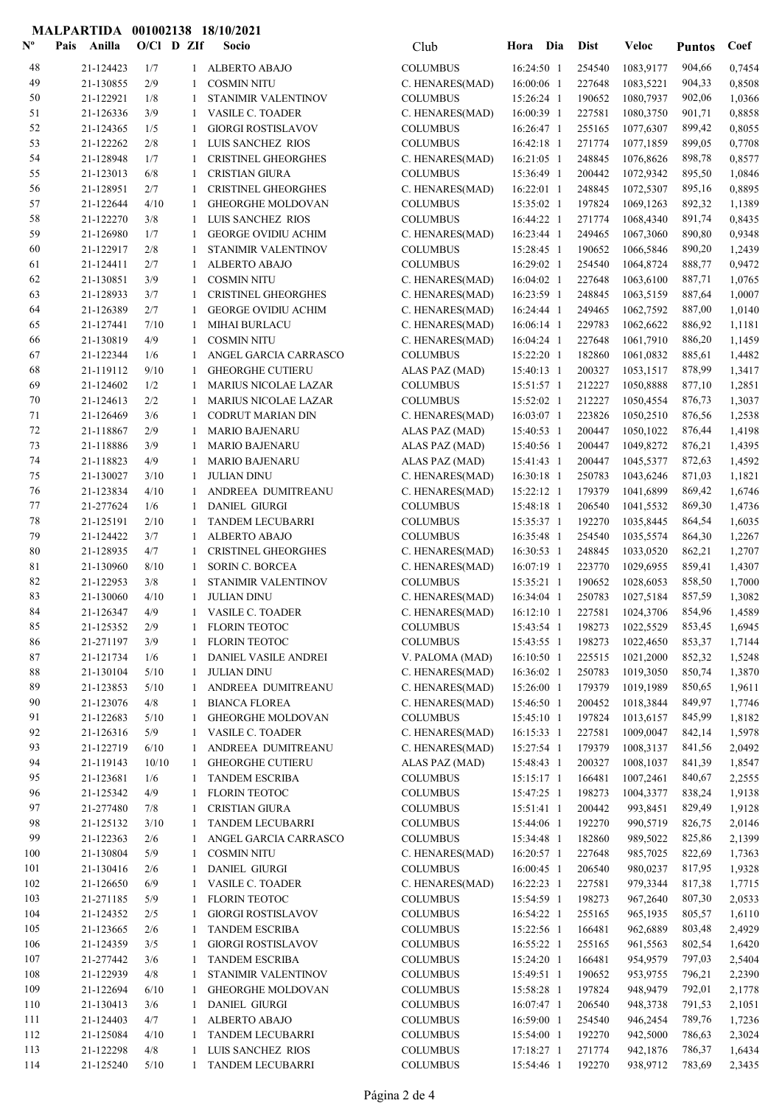## MALPARTIDA 001002138 18/10/2021

| $N^{\text{o}}$ | Pais | Anilla                 | O/Cl D ZIf |        | Socio                                               | Club                               | Hora Dia                 |                          | <b>Dist</b>      | <b>Veloc</b>                | <b>Puntos</b>    | Coef             |
|----------------|------|------------------------|------------|--------|-----------------------------------------------------|------------------------------------|--------------------------|--------------------------|------------------|-----------------------------|------------------|------------------|
| 48             |      | 21-124423              | 1/7        | 1      | <b>ALBERTO ABAJO</b>                                | <b>COLUMBUS</b>                    | 16:24:50 1               |                          | 254540           | 1083,9177                   | 904,66           | 0,7454           |
| 49             |      | 21-130855              | 2/9        | 1      | <b>COSMIN NITU</b>                                  | C. HENARES(MAD)                    | 16:00:06 1               |                          | 227648           | 1083,5221                   | 904,33           | 0,8508           |
| 50             |      | 21-122921              | 1/8        | 1      | STANIMIR VALENTINOV                                 | <b>COLUMBUS</b>                    | 15:26:24 1               |                          | 190652           | 1080,7937                   | 902,06           | 1,0366           |
| 51             |      | 21-126336              | 3/9        | 1      | VASILE C. TOADER                                    | C. HENARES(MAD)                    |                          | 16:00:39 1               | 227581           | 1080,3750                   | 901,71           | 0,8858           |
| 52             |      | 21-124365              | 1/5        | 1      | <b>GIORGI ROSTISLAVOV</b>                           | <b>COLUMBUS</b>                    |                          | 16:26:47 1               | 255165           | 1077,6307                   | 899,42           | 0,8055           |
| 53             |      | 21-122262              | 2/8        | 1      | LUIS SANCHEZ RIOS                                   | <b>COLUMBUS</b>                    | 16:42:18 1               |                          | 271774           | 1077,1859                   | 899,05           | 0,7708           |
| 54<br>55       |      | 21-128948              | 1/7        | 1      | <b>CRISTINEL GHEORGHES</b>                          | C. HENARES(MAD)<br><b>COLUMBUS</b> | 16:21:05 1               |                          | 248845<br>200442 | 1076,8626<br>1072,9342      | 898,78           | 0,8577           |
| 56             |      | 21-123013<br>21-128951 | 6/8<br>2/7 | 1<br>1 | <b>CRISTIAN GIURA</b><br><b>CRISTINEL GHEORGHES</b> | C. HENARES(MAD)                    | 15:36:49 1<br>16:22:01 1 |                          | 248845           | 1072,5307                   | 895,50<br>895,16 | 1,0846<br>0,8895 |
| 57             |      | 21-122644              | 4/10       | 1      | <b>GHEORGHE MOLDOVAN</b>                            | <b>COLUMBUS</b>                    |                          | 15:35:02 1               | 197824           | 1069,1263                   | 892,32           | 1,1389           |
| 58             |      | 21-122270              | 3/8        | 1      | LUIS SANCHEZ RIOS                                   | <b>COLUMBUS</b>                    | 16:44:22 1               |                          | 271774           | 1068,4340                   | 891,74           | 0,8435           |
| 59             |      | 21-126980              | 1/7        | 1      | <b>GEORGE OVIDIU ACHIM</b>                          | C. HENARES(MAD)                    | 16:23:44 1               |                          | 249465           | 1067,3060                   | 890,80           | 0,9348           |
| 60             |      | 21-122917              | 2/8        | 1      | STANIMIR VALENTINOV                                 | <b>COLUMBUS</b>                    | 15:28:45 1               |                          | 190652           | 1066,5846                   | 890,20           | 1,2439           |
| 61             |      | 21-124411              | 2/7        | 1      | ALBERTO ABAJO                                       | <b>COLUMBUS</b>                    | 16:29:02 1               |                          | 254540           | 1064,8724                   | 888,77           | 0,9472           |
| 62             |      | 21-130851              | 3/9        | 1      | <b>COSMIN NITU</b>                                  | C. HENARES(MAD)                    | 16:04:02 1               |                          | 227648           | 1063,6100                   | 887,71           | 1,0765           |
| 63             |      | 21-128933              | 3/7        | 1      | <b>CRISTINEL GHEORGHES</b>                          | C. HENARES(MAD)                    | 16:23:59 1               |                          | 248845           | 1063,5159                   | 887,64           | 1,0007           |
| 64             |      | 21-126389              | 2/7        | 1      | <b>GEORGE OVIDIU ACHIM</b>                          | C. HENARES(MAD)                    | 16:24:44 1               |                          | 249465           | 1062,7592                   | 887,00           | 1,0140           |
| 65             |      | 21-127441              | 7/10       | 1      | <b>MIHAI BURLACU</b>                                | C. HENARES(MAD)                    | 16:06:14 1               |                          | 229783           | 1062,6622                   | 886,92           | 1,1181           |
| 66             |      | 21-130819              | 4/9        | 1      | <b>COSMIN NITU</b>                                  | C. HENARES(MAD)                    | 16:04:24 1               |                          | 227648           | 1061,7910                   | 886,20           | 1,1459           |
| 67             |      | 21-122344              | 1/6        | 1      | ANGEL GARCIA CARRASCO                               | <b>COLUMBUS</b>                    | 15:22:20 1               |                          | 182860           | 1061,0832                   | 885,61           | 1,4482           |
| 68             |      | 21-119112              | 9/10       | 1      | <b>GHEORGHE CUTIERU</b>                             | ALAS PAZ (MAD)                     | 15:40:13 1               |                          | 200327           | 1053,1517                   | 878,99           | 1,3417           |
| 69             |      | 21-124602              | 1/2        |        | <b>MARIUS NICOLAE LAZAR</b>                         | <b>COLUMBUS</b>                    |                          | 15:51:57 1               | 212227           | 1050,8888                   | 877,10           | 1,2851           |
| 70             |      | 21-124613              | 2/2        | 1      | <b>MARIUS NICOLAE LAZAR</b>                         | <b>COLUMBUS</b>                    | 15:52:02 1               |                          | 212227           | 1050,4554                   | 876,73           | 1,3037           |
| 71<br>72       |      | 21-126469<br>21-118867 | 3/6<br>2/9 | 1      | <b>CODRUT MARIAN DIN</b><br><b>MARIO BAJENARU</b>   | C. HENARES(MAD)                    | 15:40:53 1               | 16:03:07 1               | 223826<br>200447 | 1050,2510<br>1050,1022      | 876,56<br>876,44 | 1,2538<br>1,4198 |
| 73             |      | 21-118886              | 3/9        | 1<br>1 | <b>MARIO BAJENARU</b>                               | ALAS PAZ (MAD)<br>ALAS PAZ (MAD)   | 15:40:56 1               |                          | 200447           | 1049,8272                   | 876,21           | 1,4395           |
| 74             |      | 21-118823              | 4/9        | 1      | <b>MARIO BAJENARU</b>                               | ALAS PAZ (MAD)                     |                          | 15:41:43 1               | 200447           | 1045,5377                   | 872,63           | 1,4592           |
| 75             |      | 21-130027              | 3/10       | 1      | <b>JULIAN DINU</b>                                  | C. HENARES(MAD)                    | 16:30:18 1               |                          | 250783           | 1043,6246                   | 871,03           | 1,1821           |
| 76             |      | 21-123834              | 4/10       | 1      | ANDREEA DUMITREANU                                  | C. HENARES(MAD)                    | 15:22:12 1               |                          | 179379           | 1041,6899                   | 869,42           | 1,6746           |
| 77             |      | 21-277624              | 1/6        | 1      | <b>DANIEL GIURGI</b>                                | <b>COLUMBUS</b>                    |                          | 15:48:18 1               | 206540           | 1041,5532                   | 869,30           | 1,4736           |
| 78             |      | 21-125191              | 2/10       | 1      | TANDEM LECUBARRI                                    | <b>COLUMBUS</b>                    | 15:35:37 1               |                          | 192270           | 1035,8445                   | 864,54           | 1,6035           |
| 79             |      | 21-124422              | 3/7        | 1      | <b>ALBERTO ABAJO</b>                                | <b>COLUMBUS</b>                    | 16:35:48 1               |                          | 254540           | 1035,5574                   | 864,30           | 1,2267           |
| 80             |      | 21-128935              | 4/7        | 1      | <b>CRISTINEL GHEORGHES</b>                          | C. HENARES(MAD)                    |                          | 16:30:53 1               | 248845           | 1033,0520                   | 862,21           | 1,2707           |
| 81             |      | 21-130960              | 8/10       | 1      | <b>SORIN C. BORCEA</b>                              | C. HENARES(MAD)                    |                          | 16:07:19 1               | 223770           | 1029,6955                   | 859,41           | 1,4307           |
| 82             |      | 21-122953              | 3/8        | 1      | STANIMIR VALENTINOV                                 | <b>COLUMBUS</b>                    | 15:35:21 1               |                          | 190652           | 1028,6053                   | 858,50           | 1,7000           |
| 83             |      | 21-130060              | 4/10       | -1     | <b>JULIAN DINU</b>                                  | C. HENARES(MAD)                    |                          | 16:34:04 1               | 250783           | 1027,5184                   | 857,59           | 1,3082           |
| 84             |      | 21-126347              | 4/9        | 1      | <b>VASILE C. TOADER</b>                             | C. HENARES(MAD)                    |                          | $16:12:10$ 1             | 227581           | 1024,3706                   | 854,96           | 1,4589           |
| 85             |      | 21-125352              | $2/9$      | $1\,$  | FLORIN TEOTOC                                       | COLUMBUS                           |                          |                          |                  | 15:43:54 1 198273 1022,5529 | 853,45           | 1,6945           |
| 86<br>87       |      | 21-271197<br>21-121734 | 3/9<br>1/6 | 1<br>1 | <b>FLORIN TEOTOC</b><br>DANIEL VASILE ANDREI        | <b>COLUMBUS</b><br>V. PALOMA (MAD) |                          | 15:43:55 1<br>16:10:50 1 | 198273<br>225515 | 1022,4650<br>1021,2000      | 853,37<br>852,32 | 1,7144<br>1,5248 |
| 88             |      | 21-130104              | 5/10       | 1      | <b>JULIAN DINU</b>                                  | C. HENARES(MAD)                    | 16:36:02 1               |                          | 250783           | 1019,3050                   | 850,74           | 1,3870           |
| 89             |      | 21-123853              | 5/10       | 1      | ANDREEA DUMITREANU                                  | C. HENARES(MAD)                    | 15:26:00 1               |                          | 179379           | 1019,1989                   | 850,65           | 1,9611           |
| 90             |      | 21-123076              | 4/8        | 1      | <b>BIANCA FLOREA</b>                                | C. HENARES(MAD)                    | 15:46:50 1               |                          | 200452           | 1018,3844                   | 849,97           | 1,7746           |
| 91             |      | 21-122683              | 5/10       | 1      | <b>GHEORGHE MOLDOVAN</b>                            | <b>COLUMBUS</b>                    |                          | $15:45:10$ 1             | 197824           | 1013,6157                   | 845,99           | 1,8182           |
| 92             |      | 21-126316              | 5/9        | 1      | VASILE C. TOADER                                    | C. HENARES(MAD)                    |                          | 16:15:33 1               | 227581           | 1009,0047                   | 842,14           | 1,5978           |
| 93             |      | 21-122719              | 6/10       | 1      | ANDREEA DUMITREANU                                  | C. HENARES(MAD)                    | 15:27:54 1               |                          | 179379           | 1008,3137                   | 841,56           | 2,0492           |
| 94             |      | 21-119143              | 10/10      | 1      | <b>GHEORGHE CUTIERU</b>                             | ALAS PAZ (MAD)                     | 15:48:43 1               |                          | 200327           | 1008,1037                   | 841,39           | 1,8547           |
| 95             |      | 21-123681              | 1/6        | 1      | <b>TANDEM ESCRIBA</b>                               | <b>COLUMBUS</b>                    |                          | $15:15:17$ 1             | 166481           | 1007,2461                   | 840,67           | 2,2555           |
| 96             |      | 21-125342              | 4/9        | 1      | <b>FLORIN TEOTOC</b>                                | <b>COLUMBUS</b>                    | 15:47:25 1               |                          | 198273           | 1004,3377                   | 838,24           | 1,9138           |
| 97             |      | 21-277480              | 7/8        | 1      | <b>CRISTIAN GIURA</b>                               | <b>COLUMBUS</b>                    | 15:51:41 1               |                          | 200442           | 993,8451                    | 829,49           | 1,9128           |
| 98             |      | 21-125132              | 3/10       | 1      | TANDEM LECUBARRI                                    | <b>COLUMBUS</b>                    | 15:44:06 1               |                          | 192270           | 990,5719                    | 826,75           | 2,0146           |
| 99             |      | 21-122363              | 2/6        | 1      | ANGEL GARCIA CARRASCO                               | <b>COLUMBUS</b>                    | 15:34:48 1               |                          | 182860           | 989,5022                    | 825,86           | 2,1399           |
| 100<br>101     |      | 21-130804              | 5/9<br>2/6 | 1      | <b>COSMIN NITU</b><br><b>DANIEL GIURGI</b>          | C. HENARES(MAD)<br><b>COLUMBUS</b> |                          | 16:20:57 1               | 227648<br>206540 | 985,7025                    | 822,69<br>817,95 | 1,7363           |
| 102            |      | 21-130416<br>21-126650 | 6/9        | 1<br>1 | <b>VASILE C. TOADER</b>                             | C. HENARES(MAD)                    | 16:22:23 1               | $16:00:45$ 1             | 227581           | 980,0237<br>979,3344        | 817,38           | 1,9328<br>1,7715 |
| 103            |      | 21-271185              | 5/9        | 1      | <b>FLORIN TEOTOC</b>                                | <b>COLUMBUS</b>                    | 15:54:59 1               |                          | 198273           | 967,2640                    | 807,30           | 2,0533           |
| 104            |      | 21-124352              | 2/5        | 1      | <b>GIORGI ROSTISLAVOV</b>                           | <b>COLUMBUS</b>                    |                          | 16:54:22 1               | 255165           | 965,1935                    | 805,57           | 1,6110           |
| 105            |      | 21-123665              | 2/6        | 1      | <b>TANDEM ESCRIBA</b>                               | <b>COLUMBUS</b>                    | 15:22:56 1               |                          | 166481           | 962,6889                    | 803,48           | 2,4929           |
| 106            |      | 21-124359              | 3/5        | 1      | <b>GIORGI ROSTISLAVOV</b>                           | <b>COLUMBUS</b>                    |                          | 16:55:22 1               | 255165           | 961,5563                    | 802,54           | 1,6420           |
| 107            |      | 21-277442              | 3/6        | 1      | <b>TANDEM ESCRIBA</b>                               | <b>COLUMBUS</b>                    |                          | 15:24:20 1               | 166481           | 954,9579                    | 797,03           | 2,5404           |
| 108            |      | 21-122939              | 4/8        | 1      | STANIMIR VALENTINOV                                 | <b>COLUMBUS</b>                    | 15:49:51 1               |                          | 190652           | 953,9755                    | 796,21           | 2,2390           |
| 109            |      | 21-122694              | 6/10       | 1      | <b>GHEORGHE MOLDOVAN</b>                            | <b>COLUMBUS</b>                    | 15:58:28 1               |                          | 197824           | 948,9479                    | 792,01           | 2,1778           |
| 110            |      | 21-130413              | 3/6        | 1      | <b>DANIEL GIURGI</b>                                | <b>COLUMBUS</b>                    |                          | $16:07:47$ 1             | 206540           | 948,3738                    | 791,53           | 2,1051           |
| 111            |      | 21-124403              | 4/7        | 1      | <b>ALBERTO ABAJO</b>                                | <b>COLUMBUS</b>                    |                          | 16:59:00 1               | 254540           | 946,2454                    | 789,76           | 1,7236           |
| 112            |      | 21-125084              | 4/10       | 1      | TANDEM LECUBARRI                                    | <b>COLUMBUS</b>                    |                          | 15:54:00 1               | 192270           | 942,5000                    | 786,63           | 2,3024           |
| 113            |      | 21-122298              | 4/8        | 1      | LUIS SANCHEZ RIOS                                   | <b>COLUMBUS</b>                    |                          | $17:18:27$ 1             | 271774           | 942,1876                    | 786,37           | 1,6434           |
| 114            |      | 21-125240              | 5/10       | 1      | TANDEM LECUBARRI                                    | <b>COLUMBUS</b>                    |                          | 15:54:46 1               | 192270           | 938,9712                    | 783,69           | 2,3435           |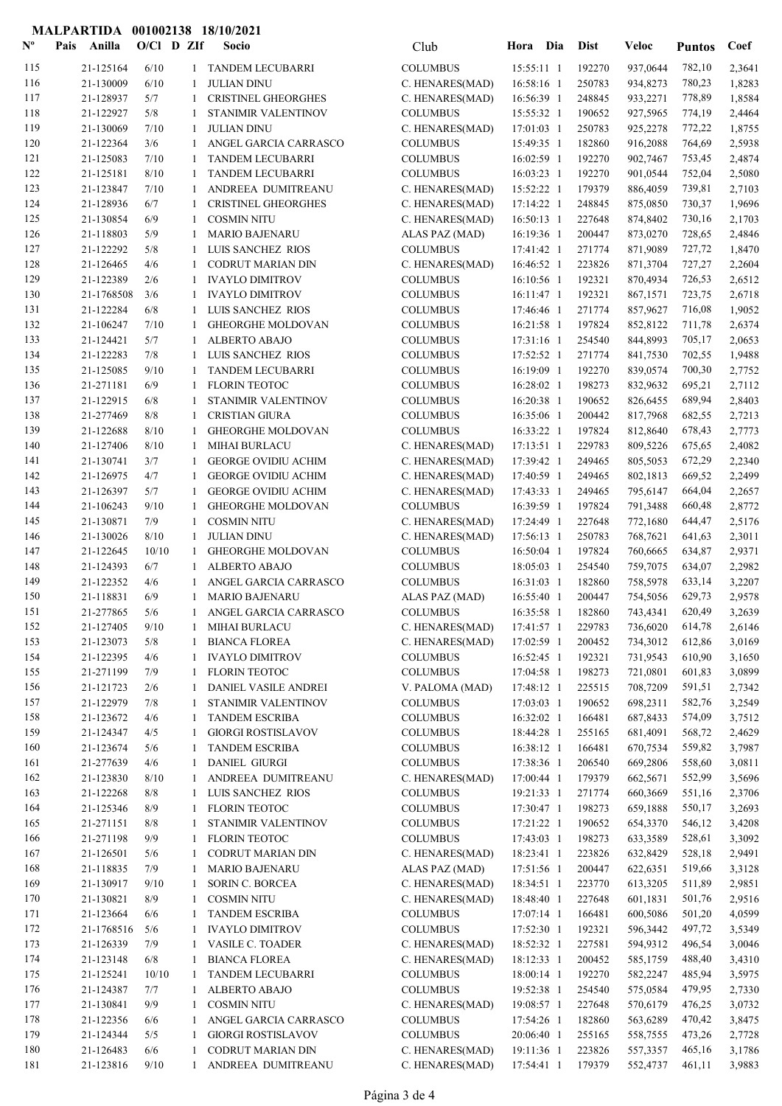## MALPARTIDA 001002138 18/10/2021

| $\mathbf{N}^{\mathbf{o}}$ | Pais | Anilla                 | $O/CI$ D ZIf |              | Socio                                             | Club                               | Hora Dia                 | <b>Dist</b>      | <b>Veloc</b>         | <b>Puntos</b>    | Coef             |
|---------------------------|------|------------------------|--------------|--------------|---------------------------------------------------|------------------------------------|--------------------------|------------------|----------------------|------------------|------------------|
| 115                       |      | 21-125164              | 6/10         | $\mathbf{1}$ | TANDEM LECUBARRI                                  | <b>COLUMBUS</b>                    | 15:55:11 1               | 192270           | 937,0644             | 782,10           | 2,3641           |
| 116                       |      | 21-130009              | 6/10         | 1            | <b>JULIAN DINU</b>                                | C. HENARES(MAD)                    | 16:58:16 1               | 250783           | 934,8273             | 780,23           | 1,8283           |
| 117                       |      | 21-128937              | 5/7          | 1            | <b>CRISTINEL GHEORGHES</b>                        | C. HENARES(MAD)                    | 16:56:39 1               | 248845           | 933,2271             | 778,89           | 1,8584           |
| 118                       |      | 21-122927              | 5/8          | -1           | STANIMIR VALENTINOV                               | <b>COLUMBUS</b>                    | 15:55:32 1               | 190652           | 927,5965             | 774,19           | 2,4464           |
| 119                       |      | 21-130069              | 7/10         | -1           | <b>JULIAN DINU</b>                                | C. HENARES(MAD)                    | 17:01:03 1               | 250783           | 925,2278             | 772,22           | 1,8755           |
| 120                       |      | 21-122364              | 3/6          | 1            | ANGEL GARCIA CARRASCO                             | <b>COLUMBUS</b>                    | 15:49:35 1               | 182860           | 916,2088             | 764,69           | 2,5938           |
| 121                       |      | 21-125083              | 7/10         | 1            | TANDEM LECUBARRI                                  | <b>COLUMBUS</b>                    | 16:02:59 1               | 192270           | 902,7467             | 753,45           | 2,4874           |
| 122                       |      | 21-125181<br>21-123847 | 8/10         | -1           | <b>TANDEM LECUBARRI</b>                           | <b>COLUMBUS</b>                    | 16:03:23 1               | 192270           | 901,0544             | 752,04           | 2,5080           |
| 123<br>124                |      | 21-128936              | 7/10<br>6/7  | -1<br>-1     | ANDREEA DUMITREANU<br><b>CRISTINEL GHEORGHES</b>  | C. HENARES(MAD)<br>C. HENARES(MAD) | 15:52:22 1<br>17:14:22 1 | 179379<br>248845 | 886,4059<br>875,0850 | 739,81<br>730,37 | 2,7103<br>1,9696 |
| 125                       |      | 21-130854              | 6/9          | -1           | <b>COSMIN NITU</b>                                | C. HENARES(MAD)                    | 16:50:13 1               | 227648           | 874,8402             | 730,16           | 2,1703           |
| 126                       |      | 21-118803              | 5/9          | 1            | <b>MARIO BAJENARU</b>                             | ALAS PAZ (MAD)                     | 16:19:36 1               | 200447           | 873,0270             | 728,65           | 2,4846           |
| 127                       |      | 21-122292              | 5/8          | 1            | LUIS SANCHEZ RIOS                                 | <b>COLUMBUS</b>                    | 17:41:42 1               | 271774           | 871,9089             | 727,72           | 1,8470           |
| 128                       |      | 21-126465              | 4/6          | 1            | <b>CODRUT MARIAN DIN</b>                          | C. HENARES(MAD)                    | 16:46:52 1               | 223826           | 871,3704             | 727,27           | 2,2604           |
| 129                       |      | 21-122389              | 2/6          | 1            | <b>IVAYLO DIMITROV</b>                            | <b>COLUMBUS</b>                    | 16:10:56 1               | 192321           | 870,4934             | 726,53           | 2,6512           |
| 130                       |      | 21-1768508             | 3/6          | 1            | <b>IVAYLO DIMITROV</b>                            | <b>COLUMBUS</b>                    | 16:11:47 1               | 192321           | 867,1571             | 723,75           | 2,6718           |
| 131                       |      | 21-122284              | 6/8          | 1            | LUIS SANCHEZ RIOS                                 | <b>COLUMBUS</b>                    | 17:46:46 1               | 271774           | 857,9627             | 716,08           | 1,9052           |
| 132                       |      | 21-106247              | 7/10         | 1            | <b>GHEORGHE MOLDOVAN</b>                          | <b>COLUMBUS</b>                    | 16:21:58 1               | 197824           | 852,8122             | 711,78           | 2,6374           |
| 133                       |      | 21-124421              | 5/7          | 1            | <b>ALBERTO ABAJO</b>                              | <b>COLUMBUS</b>                    | 17:31:16 1               | 254540           | 844,8993             | 705,17           | 2,0653           |
| 134                       |      | 21-122283              | 7/8          | 1            | LUIS SANCHEZ RIOS                                 | <b>COLUMBUS</b>                    | 17:52:52 1               | 271774           | 841,7530             | 702,55           | 1,9488           |
| 135                       |      | 21-125085              | 9/10         | -1           | <b>TANDEM LECUBARRI</b>                           | <b>COLUMBUS</b>                    | 16:19:09 1               | 192270           | 839,0574             | 700,30           | 2,7752           |
| 136                       |      | 21-271181              | 6/9          | -1           | <b>FLORIN TEOTOC</b>                              | <b>COLUMBUS</b>                    | 16:28:02 1               | 198273           | 832,9632             | 695,21           | 2,7112           |
| 137                       |      | 21-122915              | 6/8          | -1           | STANIMIR VALENTINOV                               | <b>COLUMBUS</b>                    | 16:20:38 1               | 190652           | 826,6455             | 689,94           | 2,8403           |
| 138<br>139                |      | 21-277469<br>21-122688 | 8/8<br>8/10  | -1<br>1      | <b>CRISTIAN GIURA</b><br><b>GHEORGHE MOLDOVAN</b> | <b>COLUMBUS</b>                    | 16:35:06 1<br>16:33:22 1 | 200442<br>197824 | 817,7968<br>812,8640 | 682,55<br>678,43 | 2,7213<br>2,7773 |
| 140                       |      | 21-127406              | 8/10         | -1           | <b>MIHAI BURLACU</b>                              | <b>COLUMBUS</b><br>C. HENARES(MAD) | $17:13:51$ 1             | 229783           | 809,5226             | 675,65           | 2,4082           |
| 141                       |      | 21-130741              | 3/7          | 1            | <b>GEORGE OVIDIU ACHIM</b>                        | C. HENARES(MAD)                    | 17:39:42 1               | 249465           | 805,5053             | 672,29           | 2,2340           |
| 142                       |      | 21-126975              | 4/7          | -1           | <b>GEORGE OVIDIU ACHIM</b>                        | C. HENARES(MAD)                    | 17:40:59 1               | 249465           | 802,1813             | 669,52           | 2,2499           |
| 143                       |      | 21-126397              | 5/7          | -1           | <b>GEORGE OVIDIU ACHIM</b>                        | C. HENARES(MAD)                    | 17:43:33 1               | 249465           | 795,6147             | 664,04           | 2,2657           |
| 144                       |      | 21-106243              | 9/10         | -1           | <b>GHEORGHE MOLDOVAN</b>                          | <b>COLUMBUS</b>                    | 16:39:59 1               | 197824           | 791,3488             | 660,48           | 2,8772           |
| 145                       |      | 21-130871              | 7/9          | 1            | <b>COSMIN NITU</b>                                | C. HENARES(MAD)                    | 17:24:49 1               | 227648           | 772,1680             | 644,47           | 2,5176           |
| 146                       |      | 21-130026              | 8/10         | -1           | <b>JULIAN DINU</b>                                | C. HENARES(MAD)                    | 17:56:13 1               | 250783           | 768,7621             | 641,63           | 2,3011           |
| 147                       |      | 21-122645              | 10/10        | -1           | <b>GHEORGHE MOLDOVAN</b>                          | <b>COLUMBUS</b>                    | 16:50:04 1               | 197824           | 760,6665             | 634,87           | 2,9371           |
| 148                       |      | 21-124393              | 6/7          | -1           | ALBERTO ABAJO                                     | <b>COLUMBUS</b>                    | 18:05:03 1               | 254540           | 759,7075             | 634,07           | 2,2982           |
| 149                       |      | 21-122352              | 4/6          | -1           | ANGEL GARCIA CARRASCO                             | <b>COLUMBUS</b>                    | 16:31:03 1               | 182860           | 758,5978             | 633,14           | 3,2207           |
| 150                       |      | 21-118831              | 6/9          | -1           | <b>MARIO BAJENARU</b>                             | ALAS PAZ (MAD)                     | 16:55:40 1               | 200447           | 754,5056             | 629,73           | 2,9578           |
| 151                       |      | 21-277865              | 5/6          | $\mathbf{1}$ | ANGEL GARCIA CARRASCO                             | <b>COLUMBUS</b>                    | 16:35:58 1               | 182860           | 743,4341             | 620,49           | 3,2639           |
| 152                       |      | 21-127405              | $9/10$       |              | 1 MIHAI BURLACU                                   | C. HENARES(MAD)                    | 17:41:57 1               | 229783           | 736,6020 614,78      |                  | 2,6146           |
| 153<br>154                |      | 21-123073              | 5/8<br>4/6   | 1            | <b>BIANCA FLOREA</b><br><b>IVAYLO DIMITROV</b>    | C. HENARES(MAD)<br><b>COLUMBUS</b> | 17:02:59 1               | 200452<br>192321 | 734,3012<br>731,9543 | 612,86           | 3,0169           |
| 155                       |      | 21-122395<br>21-271199 | 7/9          | 1<br>1       | <b>FLORIN TEOTOC</b>                              | <b>COLUMBUS</b>                    | 16:52:45 1<br>17:04:58 1 | 198273           | 721,0801             | 610,90<br>601,83 | 3,1650<br>3,0899 |
| 156                       |      | 21-121723              | 2/6          | -1           | DANIEL VASILE ANDREI                              | V. PALOMA (MAD)                    | 17:48:12 1               | 225515           | 708,7209             | 591,51           | 2,7342           |
| 157                       |      | 21-122979              | 7/8          | 1            | STANIMIR VALENTINOV                               | <b>COLUMBUS</b>                    | 17:03:03 1               | 190652           | 698,2311             | 582,76           | 3,2549           |
| 158                       |      | 21-123672              | 4/6          | 1            | <b>TANDEM ESCRIBA</b>                             | <b>COLUMBUS</b>                    | 16:32:02 1               | 166481           | 687,8433             | 574,09           | 3,7512           |
| 159                       |      | 21-124347              | 4/5          | -1           | <b>GIORGI ROSTISLAVOV</b>                         | <b>COLUMBUS</b>                    | 18:44:28 1               | 255165           | 681,4091             | 568,72           | 2,4629           |
| 160                       |      | 21-123674              | 5/6          | 1            | <b>TANDEM ESCRIBA</b>                             | <b>COLUMBUS</b>                    | 16:38:12 1               | 166481           | 670,7534             | 559,82           | 3,7987           |
| 161                       |      | 21-277639              | 4/6          | 1            | <b>DANIEL GIURGI</b>                              | <b>COLUMBUS</b>                    | 17:38:36 1               | 206540           | 669,2806             | 558,60           | 3,0811           |
| 162                       |      | 21-123830              | 8/10         | 1            | ANDREEA DUMITREANU                                | C. HENARES(MAD)                    | 17:00:44 1               | 179379           | 662,5671             | 552,99           | 3,5696           |
| 163                       |      | 21-122268              | 8/8          | 1            | LUIS SANCHEZ RIOS                                 | <b>COLUMBUS</b>                    | 19:21:33 1               | 271774           | 660,3669             | 551,16           | 2,3706           |
| 164                       |      | 21-125346              | 8/9          | 1            | <b>FLORIN TEOTOC</b>                              | <b>COLUMBUS</b>                    | 17:30:47 1               | 198273           | 659,1888             | 550,17           | 3,2693           |
| 165                       |      | 21-271151              | 8/8          | 1            | STANIMIR VALENTINOV                               | <b>COLUMBUS</b>                    | 17:21:22 1               | 190652           | 654,3370             | 546,12           | 3,4208           |
| 166                       |      | 21-271198              | 9/9          | 1            | FLORIN TEOTOC                                     | <b>COLUMBUS</b>                    | 17:43:03 1               | 198273           | 633,3589             | 528,61           | 3,3092           |
| 167                       |      | 21-126501              | 5/6          | 1            | <b>CODRUT MARIAN DIN</b>                          | C. HENARES(MAD)                    | 18:23:41 1               | 223826           | 632,8429             | 528,18           | 2,9491           |
| 168                       |      | 21-118835              | 7/9          | 1            | <b>MARIO BAJENARU</b>                             | ALAS PAZ (MAD)                     | 17:51:56 1               | 200447           | 622,6351             | 519,66           | 3,3128           |
| 169<br>170                |      | 21-130917<br>21-130821 | 9/10<br>8/9  | 1<br>1       | <b>SORIN C. BORCEA</b><br><b>COSMIN NITU</b>      | C. HENARES(MAD)<br>C. HENARES(MAD) | 18:34:51 1<br>18:48:40 1 | 223770<br>227648 | 613,3205<br>601,1831 | 511,89<br>501,76 | 2,9851<br>2,9516 |
| 171                       |      | 21-123664              | 6/6          | 1            | TANDEM ESCRIBA                                    | <b>COLUMBUS</b>                    | 17:07:14 1               | 166481           | 600,5086             | 501,20           | 4,0599           |
| 172                       |      | 21-1768516             | 5/6          | 1            | <b>IVAYLO DIMITROV</b>                            | <b>COLUMBUS</b>                    | 17:52:30 1               | 192321           | 596,3442             | 497,72           | 3,5349           |
| 173                       |      | 21-126339              | 7/9          | 1            | VASILE C. TOADER                                  | C. HENARES(MAD)                    | 18:52:32 1               | 227581           | 594,9312             | 496,54           | 3,0046           |
| 174                       |      | 21-123148              | 6/8          | -1           | <b>BIANCA FLOREA</b>                              | C. HENARES(MAD)                    | 18:12:33 1               | 200452           | 585,1759             | 488,40           | 3,4310           |
| 175                       |      | 21-125241              | 10/10        | -1           | TANDEM LECUBARRI                                  | <b>COLUMBUS</b>                    | 18:00:14 1               | 192270           | 582,2247             | 485,94           | 3,5975           |
| 176                       |      | 21-124387              | 7/7          | $\mathbf{1}$ | ALBERTO ABAJO                                     | <b>COLUMBUS</b>                    | 19:52:38 1               | 254540           | 575,0584             | 479,95           | 2,7330           |
| 177                       |      | 21-130841              | 9/9          | 1            | <b>COSMIN NITU</b>                                | C. HENARES(MAD)                    | 19:08:57 1               | 227648           | 570,6179             | 476,25           | 3,0732           |
| 178                       |      | 21-122356              | 6/6          | 1            | ANGEL GARCIA CARRASCO                             | <b>COLUMBUS</b>                    | 17:54:26 1               | 182860           | 563,6289             | 470,42           | 3,8475           |
| 179                       |      | 21-124344              | 5/5          | 1            | <b>GIORGI ROSTISLAVOV</b>                         | <b>COLUMBUS</b>                    | 20:06:40 1               | 255165           | 558,7555             | 473,26           | 2,7728           |
| 180                       |      | 21-126483              | 6/6          | 1            | <b>CODRUT MARIAN DIN</b>                          | C. HENARES(MAD)                    | 19:11:36 1               | 223826           | 557,3357             | 465,16           | 3,1786           |
| 181                       |      | 21-123816              | 9/10         | 1            | ANDREEA DUMITREANU                                | C. HENARES(MAD)                    | 17:54:41 1               | 179379           | 552,4737             | 461,11           | 3,9883           |